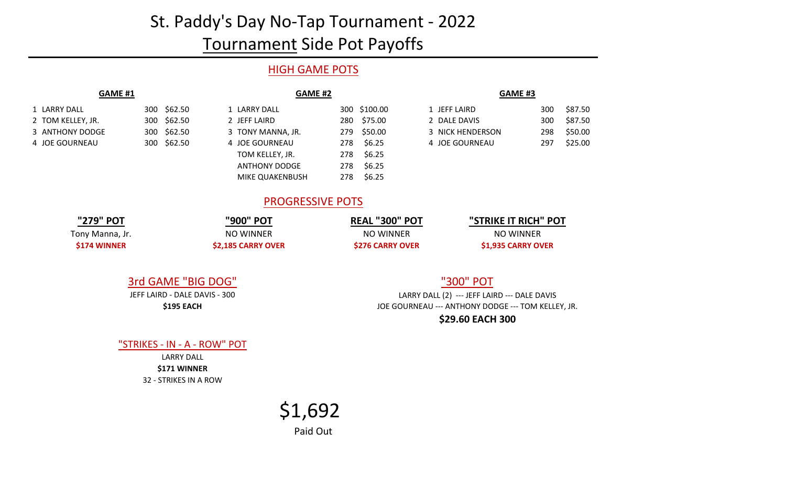# St. Paddy's Day No-Tap Tournament - 2022

## Tournament Side Pot Payoffs

### HIGH GAME POTS

| <b>GAME #1</b>    |             | <b>GAME #2</b>    | GAME #3       |                  |  |
|-------------------|-------------|-------------------|---------------|------------------|--|
| 1 LARRY DALL      | 300 \$62.50 | 1 LARRY DALL      | 300 \$100.00  | 1 JEFF LAIRD     |  |
| 2 TOM KELLEY, JR. | 300 \$62.50 | 2 JEFF LAIRD      | 280 \$75.00   | 2 DALE DAVIS     |  |
| 3 ANTHONY DODGE   | 300 \$62.50 | 3 TONY MANNA, JR. | 279 \$50.00   | 3 NICK HENDERSON |  |
| 4 JOE GOURNEAU    | 300 \$62.50 | 4 JOE GOURNEAU    | \$6.25<br>278 | 4 JOE GOURNEAU   |  |
|                   |             | TOM KELLEY IR     | $278$ $5625$  |                  |  |

Tony Manna, Jr. **\$174 WINNER**

| <b>LARRY DALL</b>      |     | 300 \$100.00 |
|------------------------|-----|--------------|
| <b>JEFF LAIRD</b>      |     | 280 \$75.00  |
| TONY MANNA, JR.        |     | 279 \$50.00  |
| <b>JOE GOURNEAU</b>    | 278 | \$6.25       |
| TOM KELLEY, JR.        | 278 | \$6.25       |
| <b>ANTHONY DODGE</b>   | 278 | \$6.25       |
| <b>MIKE QUAKENBUSH</b> | 278 | \$6.25       |

| 1 LARRY DALL      | 300 \$62.50 | LARRY DALL        | 300 \$100.00 | 1 JEFF LAIRD     | 300 | \$87.50 |
|-------------------|-------------|-------------------|--------------|------------------|-----|---------|
| 2 TOM KELLEY. JR. | 300 \$62.50 | 2 JEFF LAIRD      | 280 \$75.00  | 2 DALE DAVIS     | 300 | \$87.50 |
| 3 ANTHONY DODGE   | 300 \$62.50 | 3 TONY MANNA, JR. | 279 \$50.00  | 3 NICK HENDERSON | 298 | \$50.00 |
| 4 JOE GOURNEAU    | 300 \$62.50 | 4 JOE GOURNEAU    | 278 \$6.25   | 4 JOE GOURNEAU   | 297 | \$25.00 |

#### PROGRESSIVE POTS

| "279" POT      | "900" POT          | <b>REAL "300" POT</b>  | "STRIKE IT RICH" POT |  |  |
|----------------|--------------------|------------------------|----------------------|--|--|
| ony Manna, Jr. | <b>NO WINNER</b>   | NO WINNER              | NO WINNER            |  |  |
| \$174 WINNER   | \$2,185 CARRY OVER | <b>S276 CARRY OVER</b> | \$1,935 CARRY OVER   |  |  |

# 3rd GAME "BIG DOG"

**\$195 EACH** JEFF LAIRD - DALE DAVIS - 300

#### "300" POT

LARRY DALL (2) --- JEFF LAIRD --- DALE DAVIS JOE GOURNEAU --- ANTHONY DODGE --- TOM KELLEY, JR. **\$29.60 EACH 300**

"STRIKES - IN - A - ROW" POT

32 - STRIKES IN A ROW **\$171 WINNER** LARRY DALL

# Paid Out \$1,692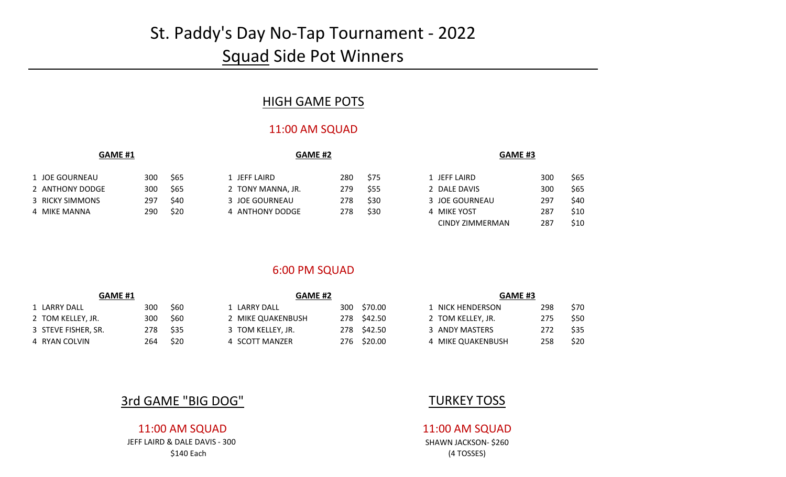# St. Paddy's Day No-Tap Tournament - 2022 **Squad Side Pot Winners**

### HIGH GAME POTS

#### 11:00 AM SQUAD

| <b>GAME #1</b> |                 |     |      | <b>GAME #2</b>    |     |      | <b>GAME #3</b> |     |      |
|----------------|-----------------|-----|------|-------------------|-----|------|----------------|-----|------|
|                | 1 JOE GOURNEAU  | 300 | \$65 | 1 JEFF LAIRD      | 280 | \$75 | 1 JEFF LAIRD   | 300 | \$65 |
|                | 2 ANTHONY DODGE | 300 | \$65 | 2 TONY MANNA, JR. | 279 | \$55 | 2 DALE DAVIS   | 300 | \$65 |
|                | 3 RICKY SIMMONS | 297 | \$40 | 3 JOE GOURNEAU    | 278 | \$30 | 3 JOE GOURNEAU | 297 | \$40 |
|                | 4 MIKE MANNA    | 290 | \$20 | 4 ANTHONY DODGE   | 278 | \$30 | 4 MIKE YOST    | 287 | \$10 |

|   | 1 JEFF LAIRD     | 300 | \$65 |
|---|------------------|-----|------|
|   | 2 DALE DAVIS     | 300 | \$65 |
|   | 3 JOE GOURNEAU   | 297 | \$40 |
| 4 | <b>MIKE YOST</b> | 287 | \$10 |
|   | CINDY ZIMMERMAN  | 287 | \$10 |

#### 6:00 PM SQUAD

| <b>GAME #1</b>      |      |      |                   | <b>GAME #2</b> |             |                   | <b>GAME #3</b> |      |  |
|---------------------|------|------|-------------------|----------------|-------------|-------------------|----------------|------|--|
| 1 LARRY DALL        | 300  | \$60 | 1 LARRY DALL      | 300            | \$70.00     | 1 NICK HENDERSON  | 298            | \$70 |  |
| 2 TOM KELLEY, JR.   | 300  | \$60 | 2 MIKE QUAKENBUSH |                | 278 \$42.50 | 2 TOM KELLEY, JR. | 275            | \$50 |  |
| 3 STEVE FISHER, SR. | 278. | \$35 | 3 TOM KELLEY, JR. |                | 278 \$42.50 | 3 ANDY MASTERS    | 272            | \$35 |  |
| 4 RYAN COLVIN       | 264  | \$20 | 4 SCOTT MANZER    |                | 276 \$20.00 | 4 MIKE QUAKENBUSH | 258            | \$20 |  |

| <b>GAME #3</b>    |     |      |
|-------------------|-----|------|
| 1 NICK HENDERSON  | 298 | \$70 |
| 2 TOM KELLEY, JR. | 275 | \$50 |
| 3 ANDY MASTERS    | 272 | \$35 |
| 4 MIKE QUAKENBUSH | 258 | \$20 |

### **3rd GAME "BIG DOG"** TURKEY TOSS

#### 11:00 AM SQUAD 11:00 AM SQUAD

JEFF LAIRD & DALE DAVIS - 300 SHAWN JACKSON- \$260 \$140 Each (4 TOSSES)